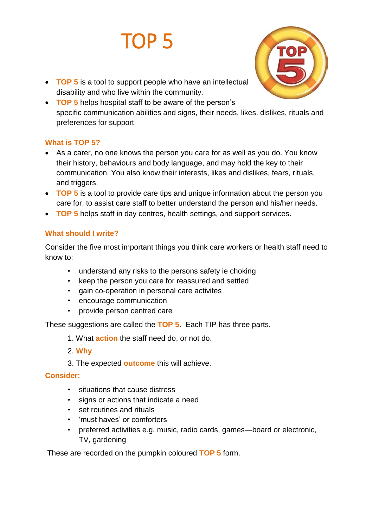# TOP 5



- **TOP 5** is a tool to support people who have an intellectual disability and who live within the community.
- **TOP 5** helps hospital staff to be aware of the person's specific communication abilities and signs, their needs, likes, dislikes, rituals and preferences for support.

#### **What is TOP 5?**

- As a carer, no one knows the person you care for as well as you do. You know their history, behaviours and body language, and may hold the key to their communication. You also know their interests, likes and dislikes, fears, rituals, and triggers.
- **TOP 5** is a tool to provide care tips and unique information about the person you care for, to assist care staff to better understand the person and his/her needs.
- **TOP 5** helps staff in day centres, health settings, and support services.

## **What should I write?**

Consider the five most important things you think care workers or health staff need to know to:

- understand any risks to the persons safety ie choking
- keep the person you care for reassured and settled
- gain co-operation in personal care activites
- encourage communication
- provide person centred care

These suggestions are called the **TOP 5**. Each TIP has three parts.

- 1. What **action** the staff need do, or not do.
- 2. **Why**
- 3. The expected **outcome** this will achieve.

#### **Consider:**

- situations that cause distress
- signs or actions that indicate a need
- set routines and rituals
- 'must haves' or comforters
- preferred activities e.g. music, radio cards, games—board or electronic, TV, gardening

These are recorded on the pumpkin coloured **TOP 5** form.